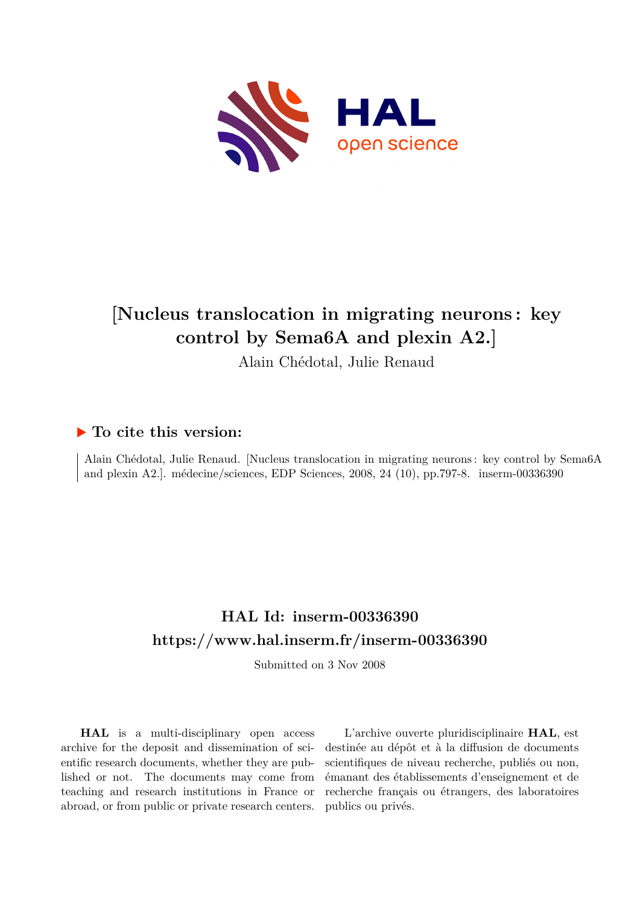

# **[Nucleus translocation in migrating neurons : key control by Sema6A and plexin A2.]**

Alain Chédotal, Julie Renaud

### **To cite this version:**

Alain Chédotal, Julie Renaud. [Nucleus translocation in migrating neurons : key control by Sema6A and plexin A2.]. médecine/sciences, EDP Sciences,  $2008$ ,  $24$   $(10)$ , pp.797-8. inserm-00336390

## **HAL Id: inserm-00336390 <https://www.hal.inserm.fr/inserm-00336390>**

Submitted on 3 Nov 2008

**HAL** is a multi-disciplinary open access archive for the deposit and dissemination of scientific research documents, whether they are published or not. The documents may come from teaching and research institutions in France or abroad, or from public or private research centers.

L'archive ouverte pluridisciplinaire **HAL**, est destinée au dépôt et à la diffusion de documents scientifiques de niveau recherche, publiés ou non, émanant des établissements d'enseignement et de recherche français ou étrangers, des laboratoires publics ou privés.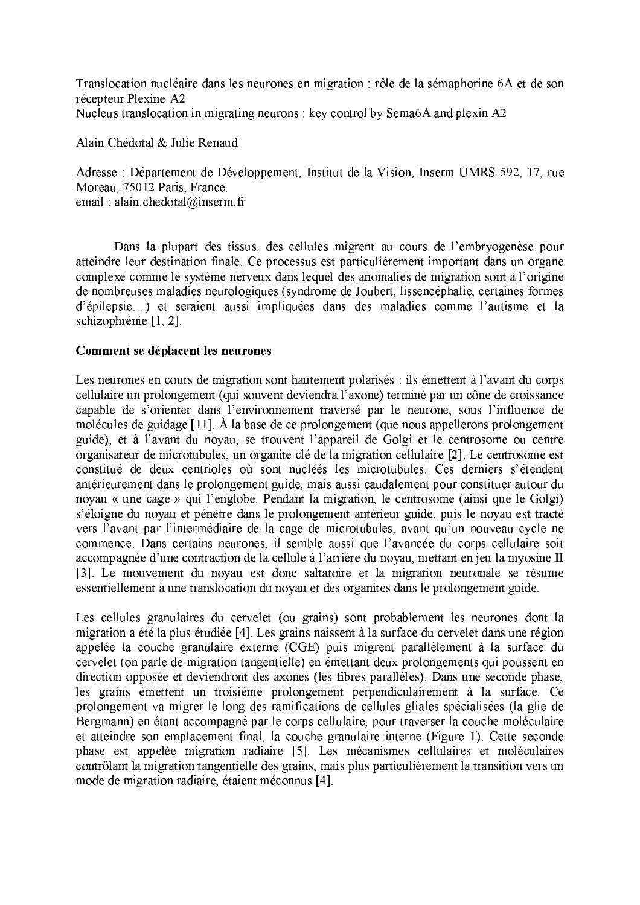Translocation nucléaire dans les neurones en migration : rôle de la sémaphorine 6A et de son récepteur Plexine-A2 Nucleus translocation in migrating neurons : key control by Sema6A and plexin A2

Alain Chédotal & Julie Renaud

Adresse : Département de Développement, Institut de la Vision, Inserm UMRS 592, 17, rue Moreau. 75012 Paris. France. email: alain chedotal@inserm.fr

Dans la plupart des tissus, des cellules migrent au cours de l'embryogenèse pour atteindre leur destination finale. Ce processus est particulièrement important dans un organe complexe comme le système nerveux dans lequel des anomalies de migration sont à l'origine de nombreuses maladies neurologiques (syndrome de Joubert, lissencéphalie, certaines formes d'épilepsie...) et seraient aussi impliquées dans des maladies comme l'autisme et la schizophrénie  $[1, 2]$ .

#### Comment se déplacent les neurones

Les neurones en cours de migration sont hautement polarisés : ils émettent à l'avant du corps cellulaire un prolongement (qui souvent deviendra l'axone) terminé par un cône de croissance capable de s'orienter dans l'environnement traversé par le neurone, sous l'influence de molécules de guidage  $[11]$ . À la base de ce prolongement (que nous appellerons prolongement guide), et à l'avant du noyau, se trouvent l'appareil de Golgi et le centrosome ou centre organisateur de microtubules, un organite clé de la migration cellulaire [2]. Le centrosome est constitué de deux centrioles où sont nucléés les microtubules. Ces derniers s'étendent antérieurement dans le prolongement guide, mais aussi caudalement pour constituer autour du noyau « une cage » qui l'englobe. Pendant la migration, le centrosome (ainsi que le Golgi) s'éloigne du noyau et pénètre dans le prolongement antérieur guide, puis le noyau est tracté vers l'avant par l'intermédiaire de la cage de microtubules, avant qu'un nouveau cycle ne commence. Dans certains neurones, il semble aussi que l'avancée du corps cellulaire soit accompagnée d'une contraction de la cellule à l'arrière du noyau, mettant en jeu la myosine II [3]. Le mouvement du novau est donc saltatoire et la migration neuronale se résume essentiellement à une translocation du noyau et des organites dans le prolongement guide.

Les cellules granulaires du cervelet (ou grains) sont probablement les neurones dont la migration a été la plus étudiée [4]. Les grains naissent à la surface du cervelet dans une région appelée la couche granulaire externe (CGE) puis migrent parallèlement à la surface du cervelet (on parle de migration tangentielle) en émettant deux prolongements qui poussent en direction opposée et deviendront des axones (les fibres parallèles). Dans une seconde phase, les grains émettent un troisième prolongement perpendiculairement à la surface. Ce prolongement va migrer le long des ramifications de cellules gliales spécialisées (la glie de Bergmann) en étant accompagné par le corps cellulaire, pour traverser la couche moléculaire et atteindre son emplacement final, la couche granulaire interne (Figure 1). Cette seconde phase est appelée migration radiaire [5]. Les mécanismes cellulaires et moléculaires contrôlant la migration tangentielle des grains, mais plus particulièrement la transition vers un mode de migration radiaire, étaient méconnus [4].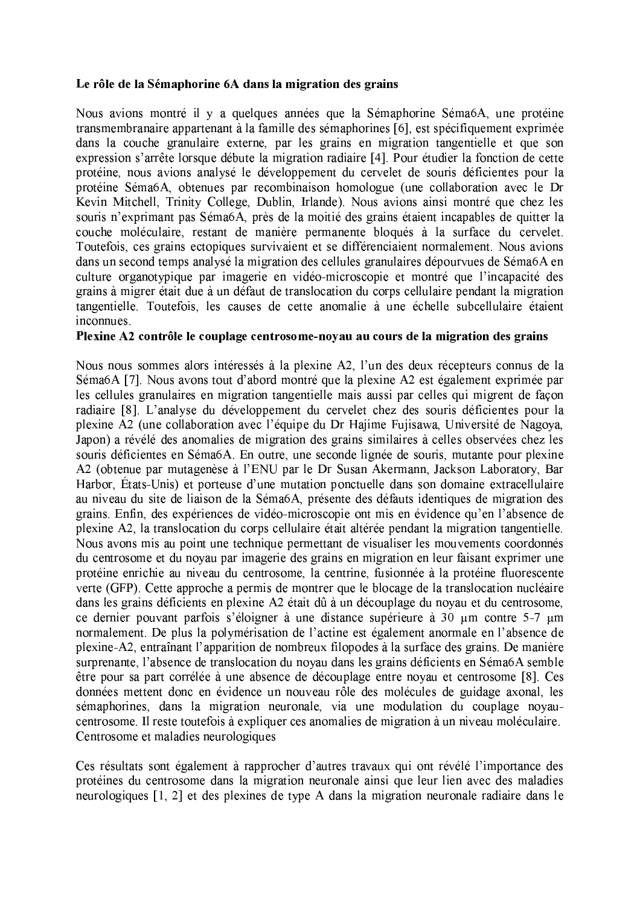#### Le rôle de la Sémaphorine 6A dans la migration des grains

Nous avions montré il y a quelques années que la Sémaphorine Séma<sub>6</sub>A, une protéine transmembranaire appartenant à la famille des sémaphorines [6], est spécifiquement exprimée dans la couche granulaire externe, par les grains en migration tangentielle et que son expression s'arrête lorsque débute la migration radiaire [4]. Pour étudier la fonction de cette protéine, nous avions analysé le développement du cervelet de souris déficientes pour la protéine Séma<sub>6</sub>A, obtenues par recombinaison homologue (une collaboration avec le Dr Kevin Mitchell, Trinity College, Dublin, Irlande). Nous avions ainsi montré que chez les souris n'exprimant pas Séma<sub>6</sub>A, près de la moitié des grains étaient incapables de quitter la couche moléculaire, restant de manière permanente bloqués à la surface du cervelet. Toutefois, ces grains ectopiques survivaient et se différenciaient normalement. Nous avions dans un second temps analysé la migration des cellules granulaires dépourvues de Séma6A en culture organotypique par imagerie en vidéo-microscopie et montré que l'incapacité des grains à migrer était due à un défaut de translocation du corps cellulaire pendant la migration tangentielle. Toutefois, les causes de cette anomalie à une échelle subcellulaire étaient inconnues.

#### Plexine A2 contrôle le couplage centrosome-novau au cours de la migration des grains

Nous nous sommes alors intéressés à la plexine A2, l'un des deux récepteurs connus de la Séma<sub>6</sub>A [7]. Nous avons tout d'abord montré que la plexine A2 est également exprimée par les cellules granulaires en migration tangentielle mais aussi par celles qui migrent de facon radiaire [8]. L'analyse du développement du cervelet chez des souris déficientes pour la plexine A2 (une collaboration avec l'équipe du Dr Hajime Fujisawa, Université de Nagoya, Japon) a révélé des anomalies de migration des grains similaires à celles observées chez les souris déficientes en Séma<sub>6</sub>A. En outre, une seconde lignée de souris, mutante pour plexine A2 (obtenue par mutagenèse à l'ENU par le Dr Susan Akermann, Jackson Laboratory, Bar Harbor, États-Unis) et porteuse d'une mutation ponctuelle dans son domaine extracellulaire au niveau du site de liaison de la Séma<sub>6</sub>A, présente des défauts identiques de migration des grains. Enfin, des expériences de vidéo-microscopie ont mis en évidence qu'en l'absence de plexine A2, la translocation du corps cellulaire était altérée pendant la migration tangentielle. Nous avons mis au point une technique permettant de visualiser les mouvements coordonnés du centrosome et du noyau par imagerie des grains en migration en leur faisant exprimer une protéine enrichie au niveau du centrosome, la centrine, fusionnée à la protéine fluorescente verte (GFP). Cette approche a permis de montrer que le blocage de la translocation nucléaire dans les grains déficients en plexine A2 était dû à un découplage du noyau et du centrosome, ce dernier pouvant parfois s'éloigner à une distance supérieure à 30 um contre 5-7 um normalement. De plus la polymérisation de l'actine est également anormale en l'absence de plexine-A2, entraînant l'apparition de nombreux filopodes à la surface des grains. De manière surprenante, l'absence de translocation du noyau dans les grains déficients en Séma6A semble être pour sa part corrélée à une absence de découplage entre novau et centrosome [8]. Ces données mettent donc en évidence un nouveau rôle des molécules de guidage axonal, les sémaphorines, dans la migration neuronale, via une modulation du couplage novaucentrosome. Il reste toutefois à expliquer ces anomalies de migration à un niveau moléculaire. Centrosome et maladies neurologiques

Ces résultats sont également à rapprocher d'autres travaux qui ont révélé l'importance des protéines du centrosome dans la migration neuronale ainsi que leur lien avec des maladies neurologiques [1, 2] et des plexines de type A dans la migration neuronale radiaire dans le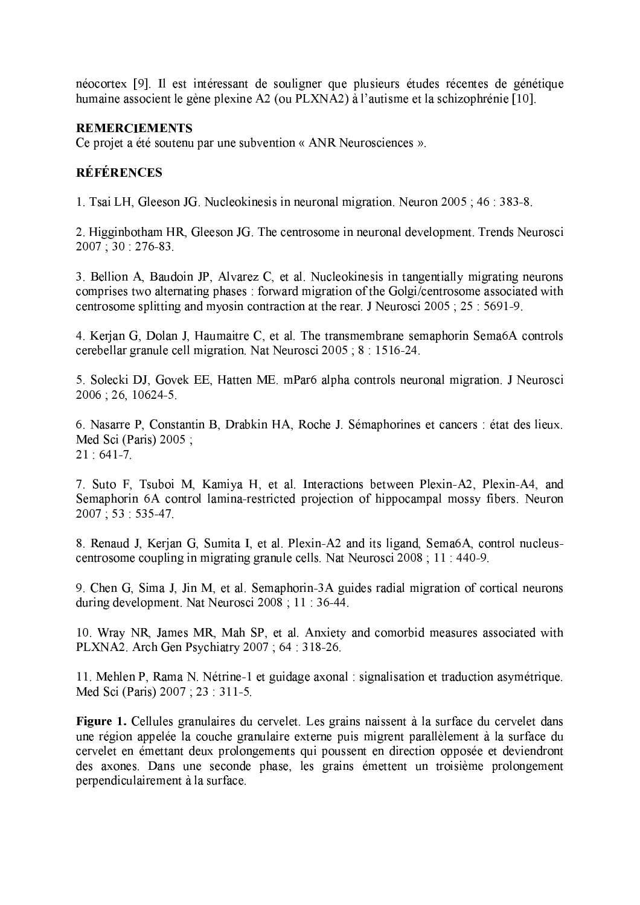néocortex [9]. Il est intéressant de souligner que plusieurs études récentes de génétique humaine associent le gène plexine A2 (ou PLXNA2) à l'autisme et la schizophrénie [10].

#### **REMERCIEMENTS**

Ce projet a été soutenu par une subvention « ANR Neurosciences ».

#### **RÉFÉRENCES**

1. Tsai LH, Gleeson JG. Nucleokinesis in neuronal migration. Neuron 2005; 46:383-8.

2. Higginbotham HR, Gleeson JG. The centrosome in neuronal development. Trends Neurosci  $2007; 30: 276-83$ 

3. Bellion A, Baudoin JP, Alvarez C, et al. Nucleokinesis in tangentially migrating neurons comprises two alternating phases : forward migration of the Golgi/centrosome associated with centrosome splitting and myosin contraction at the rear. J Neurosci 2005; 25:5691-9.

4. Kerian G, Dolan J, Haumaitre C, et al. The transmembrane semaphorin Sema6A controls cerebellar granule cell migration. Nat Neurosci 2005; 8:1516-24.

5. Solecki DJ, Govek EE, Hatten ME, mPar6 alpha controls neuronal migration. J Neurosci  $2006:26.10624-5.$ 

6. Nasarre P, Constantin B, Drabkin HA, Roche J. Sémaphorines et cancers : état des lieux. Med Sci (Paris) 2005;  $21:641-7.$ 

7. Suto F, Tsuboi M, Kamiya H, et al. Interactions between Plexin-A2, Plexin-A4, and Semaphorin 6A control lamina-restricted projection of hippocampal mossy fibers. Neuron  $2007:53:535-47$ 

8. Renaud J, Kerjan G, Sumita I, et al. Plexin-A2 and its ligand, Sema6A, control nucleuscentrosome coupling in migrating granule cells. Nat Neurosci 2008; 11:440-9.

9. Chen G, Sima J, Jin M, et al. Semaphorin-3A guides radial migration of cortical neurons during development. Nat Neurosci 2008; 11:36-44.

10. Wray NR, James MR, Mah SP, et al. Anxiety and comorbid measures associated with PLXNA2. Arch Gen Psychiatry 2007; 64:318-26.

11. Mehlen P, Rama N. Nétrine-1 et guidage axonal : signalisation et traduction asymétrique. Med Sci (Paris) 2007; 23:311-5.

Figure 1. Cellules granulaires du cervelet. Les grains naissent à la surface du cervelet dans une région appelée la couche granulaire externe puis migrent parallèlement à la surface du cervelet en émettant deux prolongements qui poussent en direction opposée et deviendront des axones. Dans une seconde phase, les grains émettent un troisième prolongement perpendiculairement à la surface.